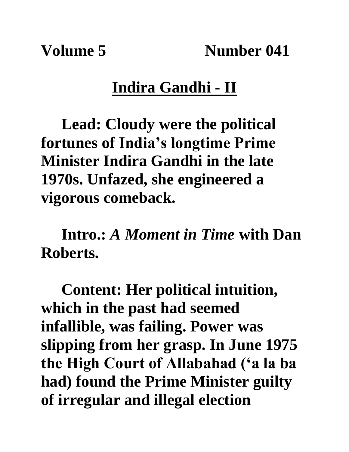Volume 5 Number 041

## **Indira Gandhi - II**

**Lead: Cloudy were the political fortunes of India's longtime Prime Minister Indira Gandhi in the late 1970s. Unfazed, she engineered a vigorous comeback.**

**Intro.:** *A Moment in Time* **with Dan Roberts.**

**Content: Her political intuition, which in the past had seemed infallible, was failing. Power was slipping from her grasp. In June 1975 the High Court of Allabahad ('a la ba had) found the Prime Minister guilty of irregular and illegal election**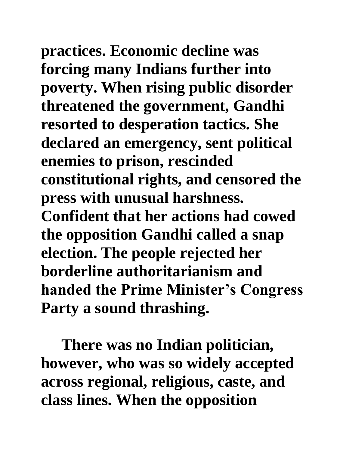**practices. Economic decline was forcing many Indians further into poverty. When rising public disorder threatened the government, Gandhi resorted to desperation tactics. She declared an emergency, sent political enemies to prison, rescinded constitutional rights, and censored the press with unusual harshness. Confident that her actions had cowed the opposition Gandhi called a snap election. The people rejected her borderline authoritarianism and** 

**handed the Prime Minister's Congress Party a sound thrashing.** 

**There was no Indian politician, however, who was so widely accepted across regional, religious, caste, and class lines. When the opposition**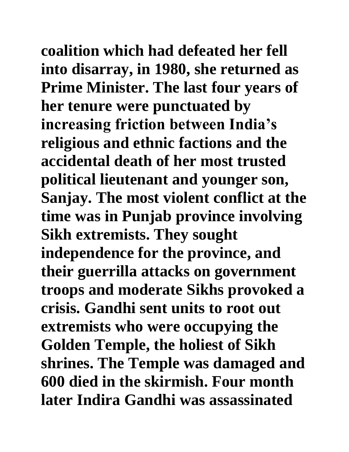**coalition which had defeated her fell into disarray, in 1980, she returned as Prime Minister. The last four years of her tenure were punctuated by increasing friction between India's religious and ethnic factions and the accidental death of her most trusted political lieutenant and younger son, Sanjay. The most violent conflict at the time was in Punjab province involving Sikh extremists. They sought independence for the province, and their guerrilla attacks on government troops and moderate Sikhs provoked a crisis. Gandhi sent units to root out extremists who were occupying the Golden Temple, the holiest of Sikh shrines. The Temple was damaged and 600 died in the skirmish. Four month later Indira Gandhi was assassinated**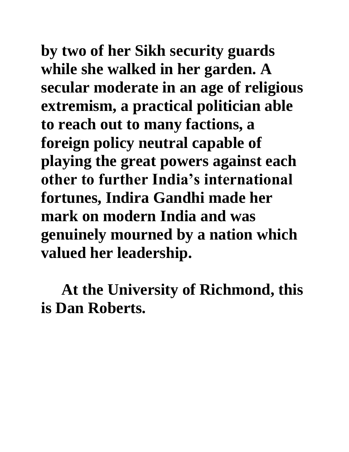**by two of her Sikh security guards while she walked in her garden. A secular moderate in an age of religious extremism, a practical politician able to reach out to many factions, a foreign policy neutral capable of playing the great powers against each other to further India's international fortunes, Indira Gandhi made her mark on modern India and was genuinely mourned by a nation which valued her leadership.**

**At the University of Richmond, this is Dan Roberts.**